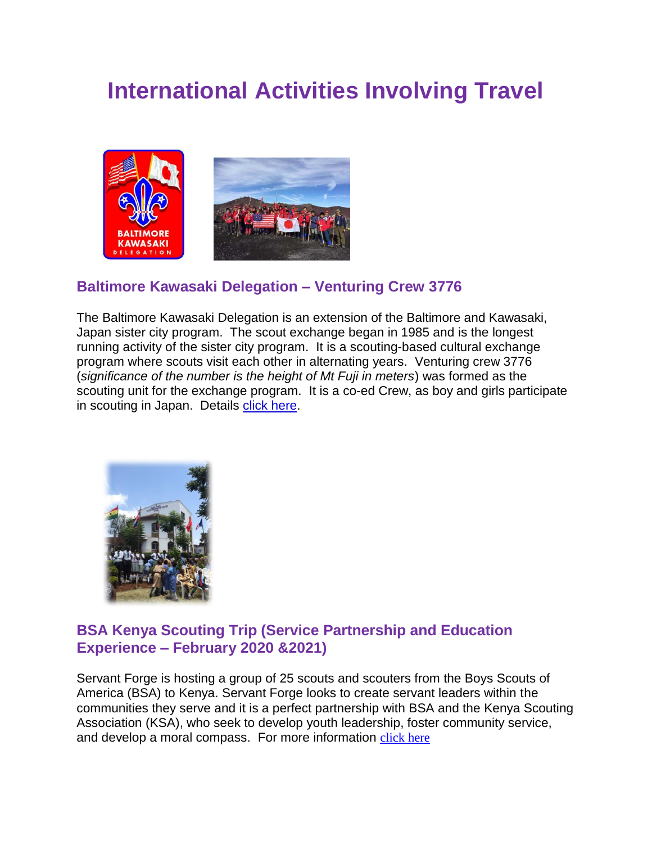# **International Activities Involving Travel**



### **Baltimore Kawasaki Delegation – Venturing Crew 3776**

The Baltimore Kawasaki Delegation is an extension of the Baltimore and Kawasaki, Japan sister city program. The scout exchange began in 1985 and is the longest running activity of the sister city program. It is a scouting-based cultural exchange program where scouts visit each other in alternating years. Venturing crew 3776 (*significance of the number is the height of Mt Fuji in meters*) was formed as the scouting unit for the exchange program. It is a co-ed Crew, as boy and girls participate in scouting in Japan. Details [click here.](https://baltimorebsa.doubleknot.com/orgheaders/749/baltimore%20kawasaki%20delegation.jpg)



#### **BSA Kenya Scouting Trip (Service Partnership and Education Experience – February 2020 &2021)**

Servant Forge is hosting a group of 25 scouts and scouters from the Boys Scouts of America (BSA) to Kenya. Servant Forge looks to create servant leaders within the communities they serve and it is a perfect partnership with BSA and the Kenya Scouting Association (KSA), who seek to develop youth leadership, foster community service, and develop a moral compass. For more information [click here](http://servantforge.org/scoutinginkenya/)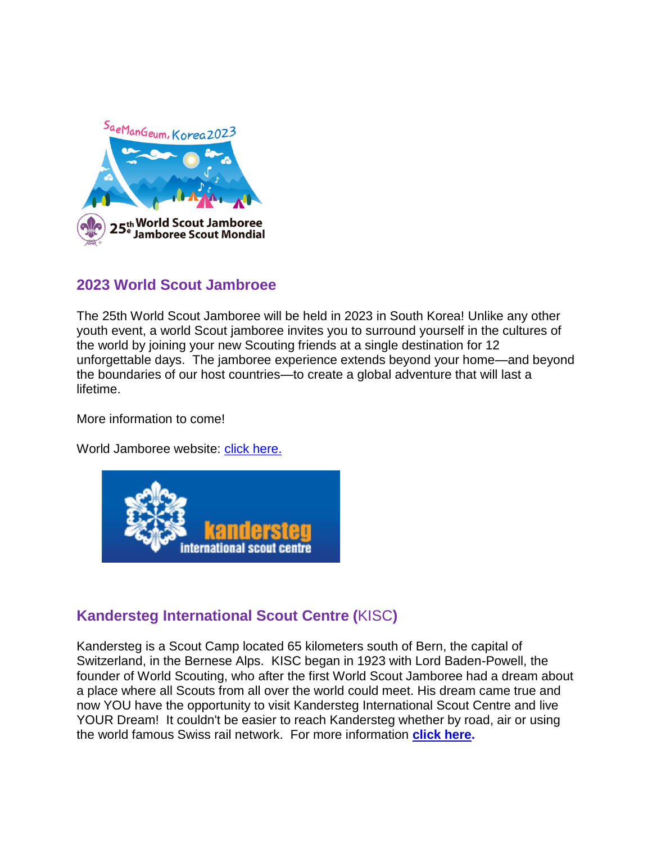

#### **2023 World Scout Jambroee**

The 25th World Scout Jamboree will be held in 2023 in South Korea! Unlike any other youth event, a world Scout jamboree invites you to surround yourself in the cultures of the world by joining your new Scouting friends at a single destination for 12 unforgettable days. The jamboree experience extends beyond your home—and beyond the boundaries of our host countries—to create a global adventure that will last a lifetime.

More information to come!

World Jamboree website: [click here.](https://www.2019wsj.org/about/2023-world-jamboree/)



## **Kandersteg International Scout Centre (**KISC**)**

Kandersteg is a Scout Camp located 65 kilometers south of Bern, the capital of Switzerland, in the Bernese Alps. KISC began in 1923 with Lord Baden-Powell, the founder of World Scouting, who after the first World Scout Jamboree had a dream about a place where all Scouts from all over the world could meet. His dream came true and now YOU have the opportunity to visit Kandersteg International Scout Centre and live YOUR Dream! It couldn't be easier to reach Kandersteg whether by road, air or using the world famous Swiss rail network. For more information **[click here.](http://www.kisc.ch/)**